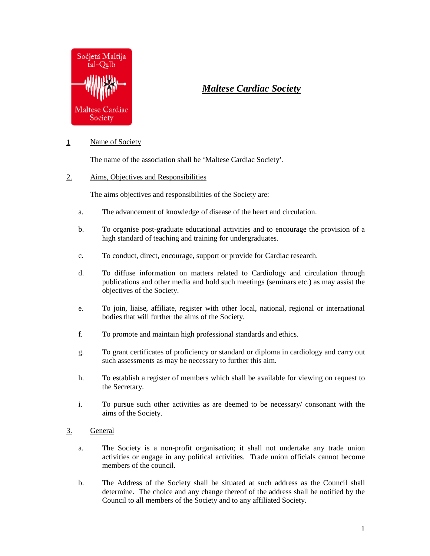

# *Maltese Cardiac Society*

## 1 Name of Society

The name of the association shall be 'Maltese Cardiac Society'.

### 2. Aims, Objectives and Responsibilities

The aims objectives and responsibilities of the Society are:

- a. The advancement of knowledge of disease of the heart and circulation.
- b. To organise post-graduate educational activities and to encourage the provision of a high standard of teaching and training for undergraduates.
- c. To conduct, direct, encourage, support or provide for Cardiac research.
- d. To diffuse information on matters related to Cardiology and circulation through publications and other media and hold such meetings (seminars etc.) as may assist the objectives of the Society.
- e. To join, liaise, affiliate, register with other local, national, regional or international bodies that will further the aims of the Society.
- f. To promote and maintain high professional standards and ethics.
- g. To grant certificates of proficiency or standard or diploma in cardiology and carry out such assessments as may be necessary to further this aim.
- h. To establish a register of members which shall be available for viewing on request to the Secretary.
- i. To pursue such other activities as are deemed to be necessary/ consonant with the aims of the Society.
- 3. General
	- a. The Society is a non-profit organisation; it shall not undertake any trade union activities or engage in any political activities. Trade union officials cannot become members of the council.
	- b. The Address of the Society shall be situated at such address as the Council shall determine. The choice and any change thereof of the address shall be notified by the Council to all members of the Society and to any affiliated Society.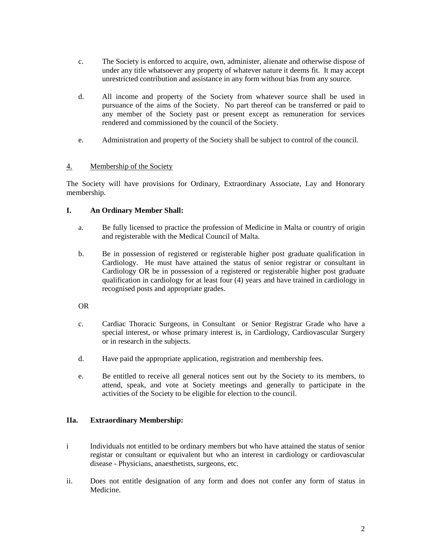- c. The Society is enforced to acquire, own, administer, alienate and otherwise dispose of under any title whatsoever any property of whatever nature it deems fit. It may accept unrestricted contribution and assistance in any form without bias from any source.
- d. All income and property of the Society from whatever source shall be used in pursuance of the aims of the Society. No part thereof can be transferred or paid to any member of the Society past or present except as remuneration for services rendered and commissioned by the council of the Society.
- e. Administration and property of the Society shall be subject to control of the council.

### 4. Membership of the Society

The Society will have provisions for Ordinary, Extraordinary Associate, Lay and Honorary membership.

#### **I. An Ordinary Member Shall:**

- a. Be fully licensed to practice the profession of Medicine in Malta or country of origin and registerable with the Medical Council of Malta.
- b. Be in possession of registered or registerable higher post graduate qualification in Cardiology. He must have attained the status of senior registrar or consultant in Cardiology OR be in possession of a registered or registerable higher post graduate qualification in cardiology for at least four (4) years and have trained in cardiology in recognised posts and appropriate grades.

OR

- c. Cardiac Thoracic Surgeons, in Consultant or Senior Registrar Grade who have a special interest, or whose primary interest is, in Cardiology, Cardiovascular Surgery or in research in the subjects.
- d. Have paid the appropriate application, registration and membership fees.
- e. Be entitled to receive all general notices sent out by the Society to its members, to attend, speak, and vote at Society meetings and generally to participate in the activities of the Society to be eligible for election to the council.

#### **IIa. Extraordinary Membership:**

- i Individuals not entitled to be ordinary members but who have attained the status of senior registar or consultant or equivalent but who an interest in cardiology or cardiovascular disease - Physicians, anaesthetists, surgeons, etc.
- ii. Does not entitle designation of any form and does not confer any form of status in Medicine.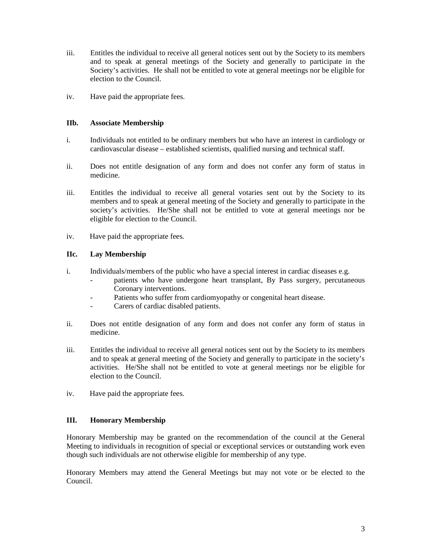- iii. Entitles the individual to receive all general notices sent out by the Society to its members and to speak at general meetings of the Society and generally to participate in the Society's activities. He shall not be entitled to vote at general meetings nor be eligible for election to the Council.
- iv. Have paid the appropriate fees.

#### **IIb. Associate Membership**

- i. Individuals not entitled to be ordinary members but who have an interest in cardiology or cardiovascular disease – established scientists, qualified nursing and technical staff.
- ii. Does not entitle designation of any form and does not confer any form of status in medicine.
- iii. Entitles the individual to receive all general votaries sent out by the Society to its members and to speak at general meeting of the Society and generally to participate in the society's activities. He/She shall not be entitled to vote at general meetings nor be eligible for election to the Council.
- iv. Have paid the appropriate fees.

#### **IIc. Lay Membership**

- i. Individuals/members of the public who have a special interest in cardiac diseases e.g.
	- patients who have undergone heart transplant, By Pass surgery, percutaneous Coronary interventions.
	- Patients who suffer from cardiomyopathy or congenital heart disease.
	- Carers of cardiac disabled patients.
- ii. Does not entitle designation of any form and does not confer any form of status in medicine.
- iii. Entitles the individual to receive all general notices sent out by the Society to its members and to speak at general meeting of the Society and generally to participate in the society's activities. He/She shall not be entitled to vote at general meetings nor be eligible for election to the Council.
- iv. Have paid the appropriate fees.

#### **III. Honorary Membership**

Honorary Membership may be granted on the recommendation of the council at the General Meeting to individuals in recognition of special or exceptional services or outstanding work even though such individuals are not otherwise eligible for membership of any type.

Honorary Members may attend the General Meetings but may not vote or be elected to the Council.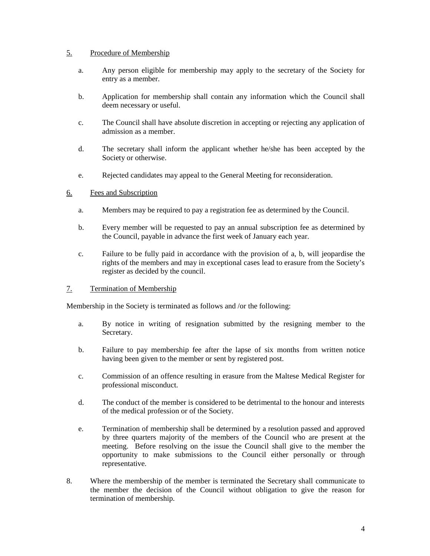#### 5. Procedure of Membership

- a. Any person eligible for membership may apply to the secretary of the Society for entry as a member.
- b. Application for membership shall contain any information which the Council shall deem necessary or useful.
- c. The Council shall have absolute discretion in accepting or rejecting any application of admission as a member.
- d. The secretary shall inform the applicant whether he/she has been accepted by the Society or otherwise.
- e. Rejected candidates may appeal to the General Meeting for reconsideration.

#### 6. Fees and Subscription

- a. Members may be required to pay a registration fee as determined by the Council.
- b. Every member will be requested to pay an annual subscription fee as determined by the Council, payable in advance the first week of January each year.
- c. Failure to be fully paid in accordance with the provision of a, b, will jeopardise the rights of the members and may in exceptional cases lead to erasure from the Society's register as decided by the council.

#### 7. Termination of Membership

Membership in the Society is terminated as follows and /or the following:

- a. By notice in writing of resignation submitted by the resigning member to the Secretary.
- b. Failure to pay membership fee after the lapse of six months from written notice having been given to the member or sent by registered post.
- c. Commission of an offence resulting in erasure from the Maltese Medical Register for professional misconduct.
- d. The conduct of the member is considered to be detrimental to the honour and interests of the medical profession or of the Society.
- e. Termination of membership shall be determined by a resolution passed and approved by three quarters majority of the members of the Council who are present at the meeting. Before resolving on the issue the Council shall give to the member the opportunity to make submissions to the Council either personally or through representative.
- 8. Where the membership of the member is terminated the Secretary shall communicate to the member the decision of the Council without obligation to give the reason for termination of membership.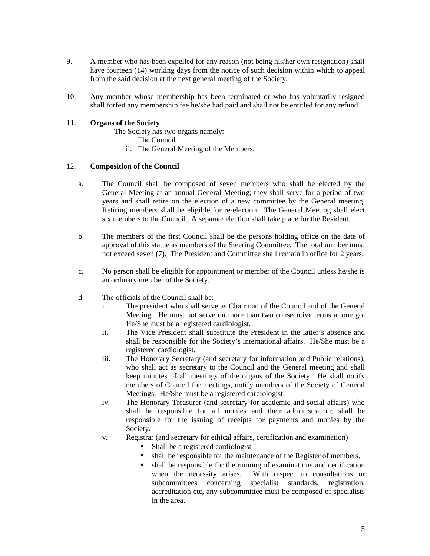- 9. A member who has been expelled for any reason (not being his/her own resignation) shall have fourteen (14) working days from the notice of such decision within which to appeal from the said decision at the next general meeting of the Society.
- 10. Any member whose membership has been terminated or who has voluntarily resigned shall forfeit any membership fee he/she had paid and shall not be entitled for any refund.

#### **11. Organs of the Society**

The Society has two organs namely:

- i. The Council
- ii. The General Meeting of the Members.

#### 12. **Composition of the Council**

- a. The Council shall be composed of seven members who shall be elected by the General Meeting at an annual General Meeting; they shall serve for a period of two years and shall retire on the election of a new committee by the General meeting. Retiring members shall be eligible for re-election. The General Meeting shall elect six members to the Council. A separate election shall take place for the Resident.
- b. The members of the first Council shall be the persons holding office on the date of approval of this statue as members of the Steering Committee. The total number must not exceed seven (7). The President and Committee shall remain in office for 2 years.
- c. No person shall be eligible for appointment or member of the Council unless he/she is an ordinary member of the Society.
- d. The officials of the Council shall be:
	- i. The president who shall serve as Chairman of the Council and of the General Meeting. He must not serve on more than two consecutive terms at one go. He/She must be a registered cardiologist.
	- ii. The Vice President shall substitute the President in the latter's absence and shall be responsible for the Society's international affairs. He/She must be a registered cardiologist.
	- iii. The Honorary Secretary (and secretary for information and Public relations), who shall act as secretary to the Council and the General meeting and shall keep minutes of all meetings of the organs of the Society. He shall notify members of Council for meetings, notify members of the Society of General Meetings. He/She must be a registered cardiologist.
	- iv. The Honorary Treasurer (and secretary for academic and social affairs) who shall be responsible for all monies and their administration; shall be responsible for the issuing of receipts for payments and monies by the Society.
	- v. Registrar (and secretary for ethical affairs, certification and examination)
		- Shall be a registered cardiologist
		- shall be responsible for the maintenance of the Register of members.
		- shall be responsible for the running of examinations and certification when the necessity arises. With respect to consultations or subcommittees concerning specialist standards, registration, accreditation etc, any subcommittee must be composed of specialists in the area.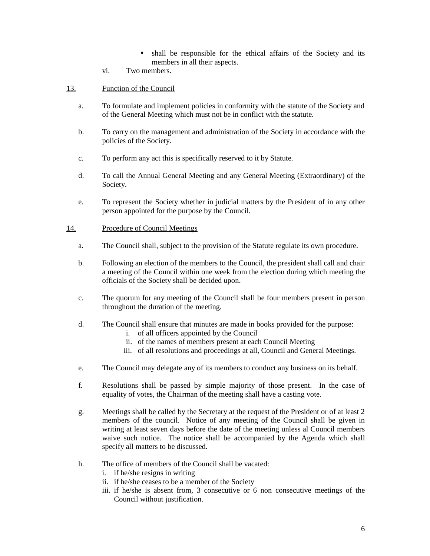- shall be responsible for the ethical affairs of the Society and its members in all their aspects.
- vi. Two members.
- 13. Function of the Council
	- a. To formulate and implement policies in conformity with the statute of the Society and of the General Meeting which must not be in conflict with the statute.
	- b. To carry on the management and administration of the Society in accordance with the policies of the Society.
	- c. To perform any act this is specifically reserved to it by Statute.
	- d. To call the Annual General Meeting and any General Meeting (Extraordinary) of the Society.
	- e. To represent the Society whether in judicial matters by the President of in any other person appointed for the purpose by the Council.

#### 14. Procedure of Council Meetings

- a. The Council shall, subject to the provision of the Statute regulate its own procedure.
- b. Following an election of the members to the Council, the president shall call and chair a meeting of the Council within one week from the election during which meeting the officials of the Society shall be decided upon.
- c. The quorum for any meeting of the Council shall be four members present in person throughout the duration of the meeting.
- d. The Council shall ensure that minutes are made in books provided for the purpose:
	- i. of all officers appointed by the Council
	- ii. of the names of members present at each Council Meeting
	- iii. of all resolutions and proceedings at all, Council and General Meetings.
- e. The Council may delegate any of its members to conduct any business on its behalf.
- f. Resolutions shall be passed by simple majority of those present. In the case of equality of votes, the Chairman of the meeting shall have a casting vote.
- g. Meetings shall be called by the Secretary at the request of the President or of at least 2 members of the council. Notice of any meeting of the Council shall be given in writing at least seven days before the date of the meeting unless al Council members waive such notice. The notice shall be accompanied by the Agenda which shall specify all matters to be discussed.
- h. The office of members of the Council shall be vacated:
	- i. if he/she resigns in writing
	- ii. if he/she ceases to be a member of the Society
	- iii. if he/she is absent from, 3 consecutive or 6 non consecutive meetings of the Council without justification.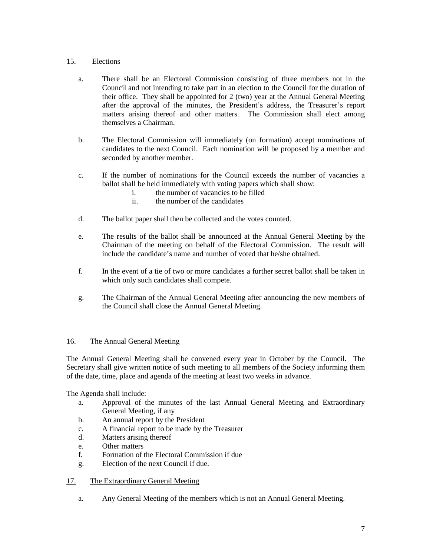## 15. Elections

- a. There shall be an Electoral Commission consisting of three members not in the Council and not intending to take part in an election to the Council for the duration of their office. They shall be appointed for 2 (two) year at the Annual General Meeting after the approval of the minutes, the President's address, the Treasurer's report matters arising thereof and other matters. The Commission shall elect among themselves a Chairman.
- b. The Electoral Commission will immediately (on formation) accept nominations of candidates to the next Council. Each nomination will be proposed by a member and seconded by another member.
- c. If the number of nominations for the Council exceeds the number of vacancies a ballot shall be held immediately with voting papers which shall show:
	- i. the number of vacancies to be filled
	- ii. the number of the candidates
- d. The ballot paper shall then be collected and the votes counted.
- e. The results of the ballot shall be announced at the Annual General Meeting by the Chairman of the meeting on behalf of the Electoral Commission. The result will include the candidate's name and number of voted that he/she obtained.
- f. In the event of a tie of two or more candidates a further secret ballot shall be taken in which only such candidates shall compete.
- g. The Chairman of the Annual General Meeting after announcing the new members of the Council shall close the Annual General Meeting.

#### 16. The Annual General Meeting

The Annual General Meeting shall be convened every year in October by the Council. The Secretary shall give written notice of such meeting to all members of the Society informing them of the date, time, place and agenda of the meeting at least two weeks in advance.

The Agenda shall include:

- a. Approval of the minutes of the last Annual General Meeting and Extraordinary General Meeting, if any
- b. An annual report by the President
- c. A financial report to be made by the Treasurer
- d. Matters arising thereof
- e. Other matters
- f. Formation of the Electoral Commission if due
- g. Election of the next Council if due.

#### 17. The Extraordinary General Meeting

a. Any General Meeting of the members which is not an Annual General Meeting.